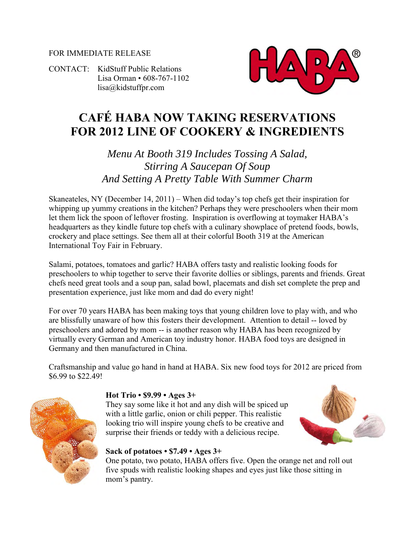#### FOR IMMEDIATE RELEASE

CONTACT: KidStuff Public Relations Lisa Orman • 608-767-1102 [lisa@kidstuffpr.com](mailto:lisa@kidstuffpr.com)



# **CAFÉ HABA NOW TAKING RESERVATIONS FOR 2012 LINE OF COOKERY & INGREDIENTS**

# *Menu At Booth 319 Includes Tossing A Salad, Stirring A Saucepan Of Soup And Setting A Pretty Table With Summer Charm*

Skaneateles, NY (December 14, 2011) – When did today's top chefs get their inspiration for whipping up yummy creations in the kitchen? Perhaps they were preschoolers when their mom let them lick the spoon of leftover frosting. Inspiration is overflowing at toymaker HABA's headquarters as they kindle future top chefs with a culinary showplace of pretend foods, bowls, crockery and place settings. See them all at their colorful Booth 319 at the American International Toy Fair in February.

Salami, potatoes, tomatoes and garlic? HABA offers tasty and realistic looking foods for preschoolers to whip together to serve their favorite dollies or siblings, parents and friends. Great chefs need great tools and a soup pan, salad bowl, placemats and dish set complete the prep and presentation experience, just like mom and dad do every night!

For over 70 years HABA has been making toys that young children love to play with, and who are blissfully unaware of how this fosters their development. Attention to detail -- loved by preschoolers and adored by mom -- is another reason why HABA has been recognized by virtually every German and American toy industry honor. HABA food toys are designed in Germany and then manufactured in China.

Craftsmanship and value go hand in hand at HABA. Six new food toys for 2012 are priced from \$6.99 to \$22.49!



#### **Hot Trio • \$9.99 • Ages 3+**

They say some like it hot and any dish will be spiced up with a little garlic, onion or chili pepper. This realistic looking trio will inspire young chefs to be creative and surprise their friends or teddy with a delicious recipe.



#### **Sack of potatoes • \$7.49 • Ages 3+**

One potato, two potato, HABA offers five. Open the orange net and roll out five spuds with realistic looking shapes and eyes just like those sitting in mom's pantry.